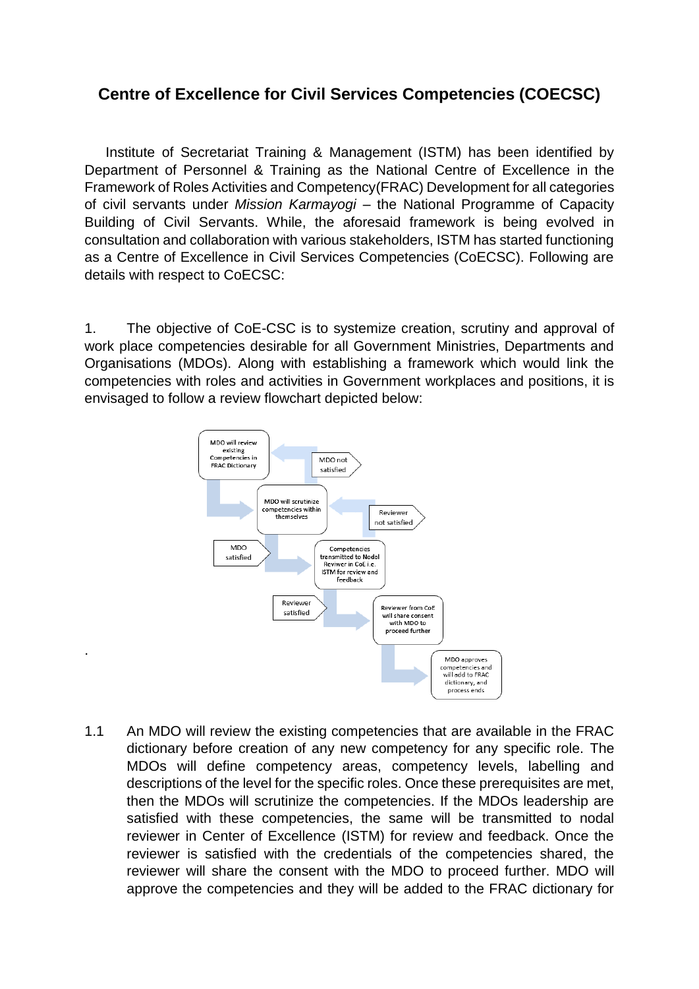## **Centre of Excellence for Civil Services Competencies (COECSC)**

Institute of Secretariat Training & Management (ISTM) has been identified by Department of Personnel & Training as the National Centre of Excellence in the Framework of Roles Activities and Competency(FRAC) Development for all categories of civil servants under *Mission Karmayogi* – the National Programme of Capacity Building of Civil Servants. While, the aforesaid framework is being evolved in consultation and collaboration with various stakeholders, ISTM has started functioning as a Centre of Excellence in Civil Services Competencies (CoECSC). Following are details with respect to CoECSC:

1. The objective of CoE-CSC is to systemize creation, scrutiny and approval of work place competencies desirable for all Government Ministries, Departments and Organisations (MDOs). Along with establishing a framework which would link the competencies with roles and activities in Government workplaces and positions, it is envisaged to follow a review flowchart depicted below:



.

1.1 An MDO will review the existing competencies that are available in the FRAC dictionary before creation of any new competency for any specific role. The MDOs will define competency areas, competency levels, labelling and descriptions of the level for the specific roles. Once these prerequisites are met, then the MDOs will scrutinize the competencies. If the MDOs leadership are satisfied with these competencies, the same will be transmitted to nodal reviewer in Center of Excellence (ISTM) for review and feedback. Once the reviewer is satisfied with the credentials of the competencies shared, the reviewer will share the consent with the MDO to proceed further. MDO will approve the competencies and they will be added to the FRAC dictionary for